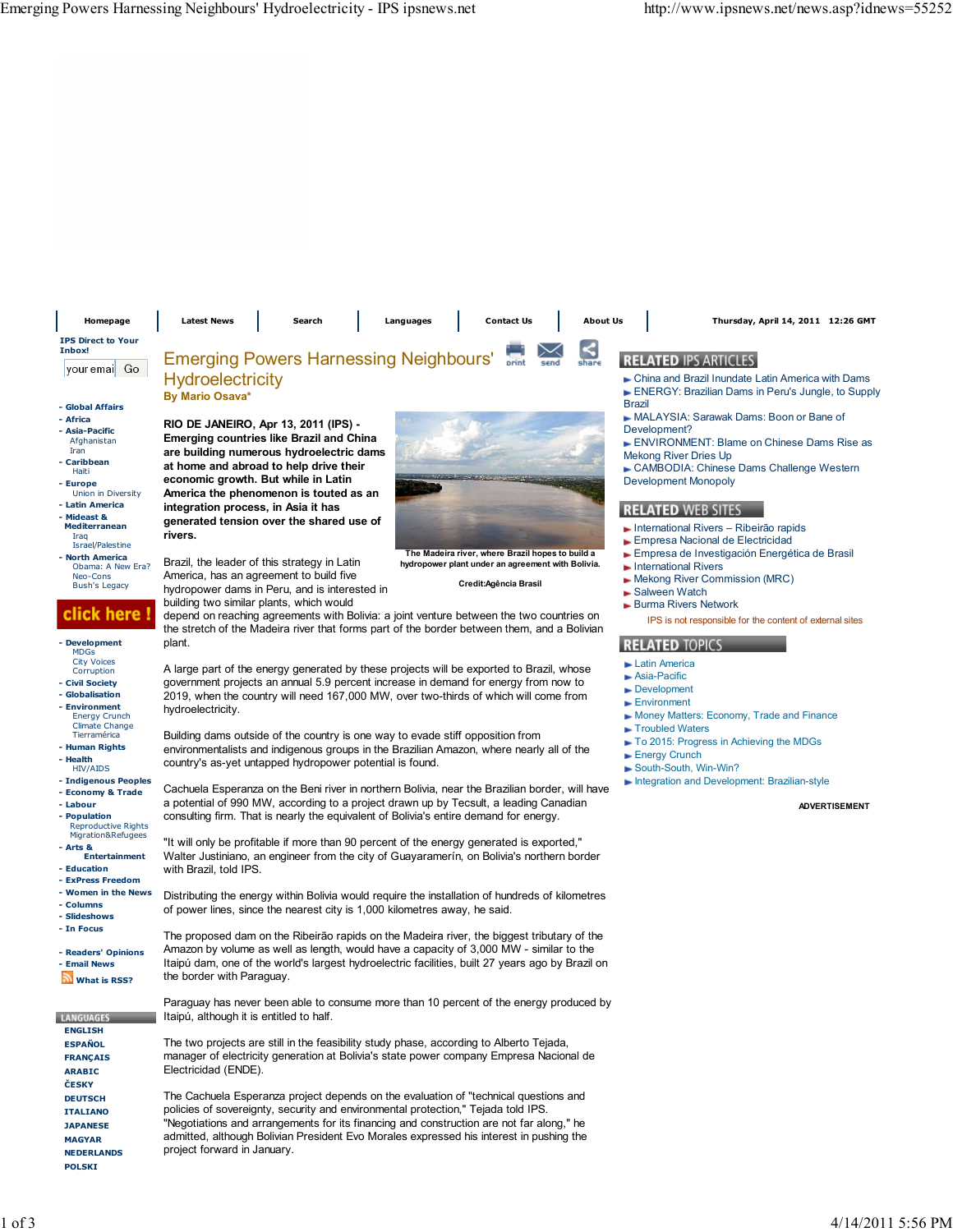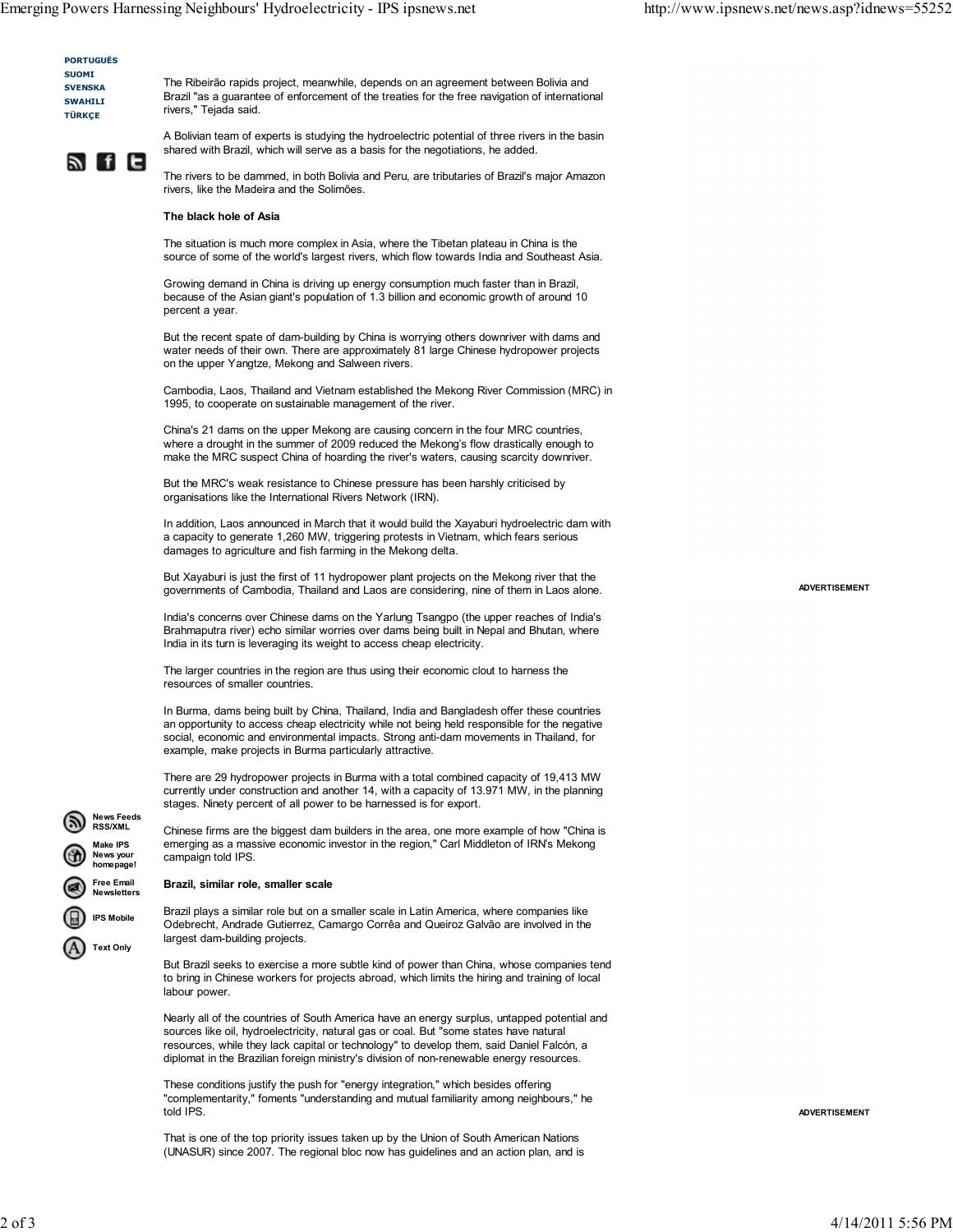PORTUGUÊS SUOMI **SVENSKA**  SWAHILI TÜRKÇE

The Ribeirão rapids project, meanwhile, depends on an agreement between Bolivia and Brazil "as a guarantee of enforcement of the treaties for the free navigation of international rivers," Tejada said.



A Bolivian team of experts is studying the hydroelectric potential of three rivers in the basin shared with Brazil, which will serve as a basis for the negotiations, he added.

The rivers to be dammed, in both Bolivia and Peru, are tributaries of Brazil's major Amazon rivers, like the Madeira and the Solimões.

# The black hole of Asia

The situation is much more complex in Asia, where the Tibetan plateau in China is the source of some of the world's largest rivers, which flow towards India and Southeast Asia.

Growing demand in China is driving up energy consumption much faster than in Brazil, because of the Asian giant's population of 1.3 billion and economic growth of around 10 percent a year.

But the recent spate of dam-building by China is worrying others downriver with dams and water needs of their own. There are approximately 81 large Chinese hydropower projects on the upper Yangtze, Mekong and Salween rivers.

Cambodia, Laos, Thailand and Vietnam established the Mekong River Commission (MRC) in 1995, to cooperate on sustainable management of the river.

China's 21 dams on the upper Mekong are causing concern in the four MRC countries, where a drought in the summer of 2009 reduced the Mekong's flow drastically enough to make the MRC suspect China of hoarding the river's waters, causing scarcity downriver.

But the MRC's weak resistance to Chinese pressure has been harshly criticised by organisations like the International Rivers Network (IRN).

In addition, Laos announced in March that it would build the Xayaburi hydroelectric dam with a capacity to generate 1,260 MW, triggering protests in Vietnam, which fears serious damages to agriculture and fish farming in the Mekong delta.

But Xayaburi is just the first of 11 hydropower plant projects on the Mekong river that the governments of Cambodia, Thailand and Laos are considering, nine of them in Laos alone.

India's concerns over Chinese dams on the Yarlung Tsangpo (the upper reaches of India's Brahmaputra river) echo similar worries over dams being built in Nepal and Bhutan, where India in its turn is leveraging its weight to access cheap electricity.

The larger countries in the region are thus using their economic clout to harness the resources of smaller countries.

In Burma, dams being built by China, Thailand, India and Bangladesh offer these countries an opportunity to access cheap electricity while not being held responsible for the negative social, economic and environmental impacts. Strong anti-dam movements in Thailand, for example, make projects in Burma particularly attractive.

There are 29 hydropower projects in Burma with a total combined capacity of 19,413 MW currently under construction and another 14, with a capacity of 13.971 MW, in the planning stages. Ninety percent of all power to be harnessed is for export.

Chinese firms are the biggest dam builders in the area, one more example of how "China is emerging as a massive economic investor in the region," Carl Middleton of IRN's Mekong campaign told IPS.

# Brazil, similar role, smaller scale

News Feeds RSS/XML Make IPS News your omepage! Free Email Newsletters IPS Mobile Text Only

Brazil plays a similar role but on a smaller scale in Latin America, where companies like Odebrecht, Andrade Gutierrez, Camargo Corrêa and Queiroz Galvão are involved in the largest dam-building projects.

But Brazil seeks to exercise a more subtle kind of power than China, whose companies tend to bring in Chinese workers for projects abroad, which limits the hiring and training of local labour power.

Nearly all of the countries of South America have an energy surplus, untapped potential and sources like oil, hydroelectricity, natural gas or coal. But "some states have natural resources, while they lack capital or technology" to develop them, said Daniel Falcón, a diplomat in the Brazilian foreign ministry's division of non-renewable energy resources.

These conditions justify the push for "energy integration," which besides offering "complementarity," foments "understanding and mutual familiarity among neighbours," he told IPS.

That is one of the top priority issues taken up by the Union of South American Nations (UNASUR) since 2007. The regional bloc now has guidelines and an action plan, and is ADVERTISEMENT